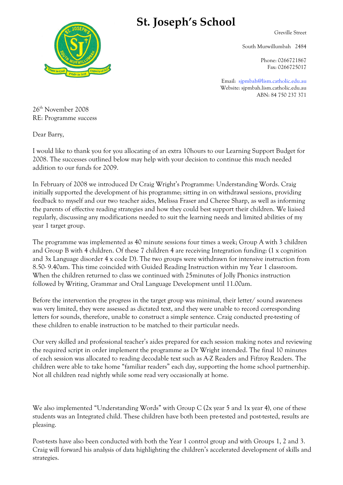

## **St. Joseph's School**

Greville Street

South Murwillumbah 2484

Phone: 0266721867 Fax: 0266725017

Email: sjpmbah@lism.catholic.edu.au Website: sjpmbah.lism.catholic.edu.au ABN: 84 750 237 371

26th November 2008 RE: Programme success

Dear Barry,

I would like to thank you for you allocating of an extra 10hours to our Learning Support Budget for 2008. The successes outlined below may help with your decision to continue this much needed addition to our funds for 2009.

In February of 2008 we introduced Dr Craig Wright's Programme: Understanding Words. Craig initially supported the development of his programme; sitting in on withdrawal sessions, providing feedback to myself and our two teacher aides, Melissa Fraser and Cheree Sharp, as well as informing the parents of effective reading strategies and how they could best support their children. We liaised regularly, discussing any modifications needed to suit the learning needs and limited abilities of my year 1 target group.

The programme was implemented as 40 minute sessions four times a week; Group A with 3 children and Group B with 4 children. Of these 7 children 4 are receiving Integration funding: (1 x cognition and 3x Language disorder 4 x code D). The two groups were withdrawn for intensive instruction from 8.50- 9.40am. This time coincided with Guided Reading Instruction within my Year 1 classroom. When the children returned to class we continued with 25minutes of Jolly Phonics instruction followed by Writing, Grammar and Oral Language Development until 11.00am.

Before the intervention the progress in the target group was minimal, their letter/ sound awareness was very limited, they were assessed as dictated text, and they were unable to record corresponding letters for sounds, therefore, unable to construct a simple sentence. Craig conducted pre-testing of these children to enable instruction to be matched to their particular needs.

Our very skilled and professional teacher's aides prepared for each session making notes and reviewing the required script in order implement the programme as Dr Wright intended. The final 10 minutes of each session was allocated to reading decodable text such as A-Z Readers and Fifzroy Readers. The children were able to take home "familiar readers" each day, supporting the home school partnership. Not all children read nightly while some read very occasionally at home.

We also implemented "Understanding Words" with Group C (2x year 5 and 1x year 4), one of these students was an Integrated child. These children have both been pre-tested and post-tested, results are pleasing.

Post-tests have also been conducted with both the Year 1 control group and with Groups 1, 2 and 3. Craig will forward his analysis of data highlighting the children's accelerated development of skills and strategies.